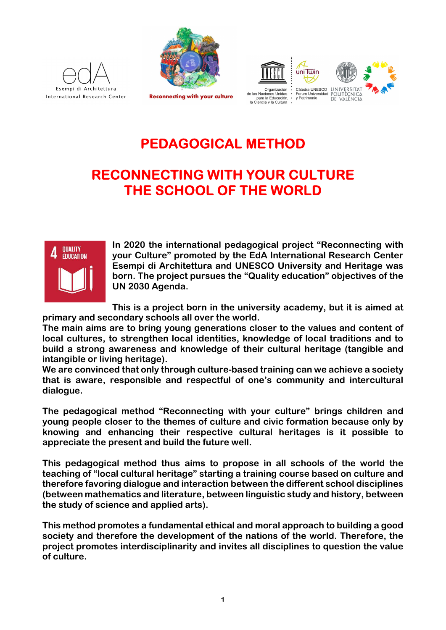









PEDAGOGICAL METHOD

# RECONNECTING WITH YOUR CULTURE THE SCHOOL OF THE WORLD



In 2020 the international pedagogical project "Reconnecting with your Culture" promoted by the EdA International Research Center Esempi di Architettura and UNESCO University and Heritage was born. The project pursues the "Quality education" objectives of the UN 2030 Agenda.

This is a project born in the university academy, but it is aimed at primary and secondary schools all over the world.

The main aims are to bring young generations closer to the values and content of local cultures, to strengthen local identities, knowledge of local traditions and to build a strong awareness and knowledge of their cultural heritage (tangible and intangible or living heritage).

We are convinced that only through culture-based training can we achieve a society that is aware, responsible and respectful of one's community and intercultural dialogue.

The pedagogical method "Reconnecting with your culture" brings children and young people closer to the themes of culture and civic formation because only by knowing and enhancing their respective cultural heritages is it possible to appreciate the present and build the future well.

This pedagogical method thus aims to propose in all schools of the world the teaching of "local cultural heritage" starting a training course based on culture and therefore favoring dialogue and interaction between the different school disciplines (between mathematics and literature, between linguistic study and history, between the study of science and applied arts).

This method promotes a fundamental ethical and moral approach to building a good society and therefore the development of the nations of the world. Therefore, the project promotes interdisciplinarity and invites all disciplines to question the value of culture.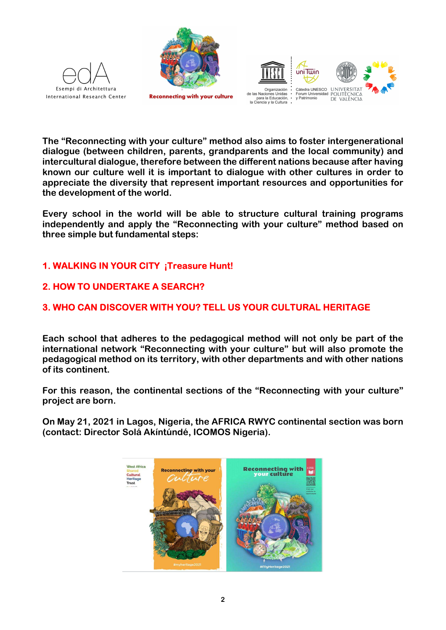





The "Reconnecting with your culture" method also aims to foster intergenerational dialogue (between children, parents, grandparents and the local community) and intercultural dialogue, therefore between the different nations because after having known our culture well it is important to dialogue with other cultures in order to appreciate the diversity that represent important resources and opportunities for the development of the world.

Every school in the world will be able to structure cultural training programs independently and apply the "Reconnecting with your culture" method based on three simple but fundamental steps:

# 1. WALKING IN YOUR CITY ¡Treasure Hunt!

## 2. HOW TO UNDERTAKE A SEARCH?

# 3. WHO CAN DISCOVER WITH YOU? TELL US YOUR CULTURAL HERITAGE

Each school that adheres to the pedagogical method will not only be part of the international network "Reconnecting with your culture" but will also promote the pedagogical method on its territory, with other departments and with other nations of its continent.

For this reason, the continental sections of the "Reconnecting with your culture" project are born.

On May 21, 2021 in Lagos, Nigeria, the AFRICA RWYC continental section was born (contact: Director Solá Akíntúndé, ICOMOS Nigeria).

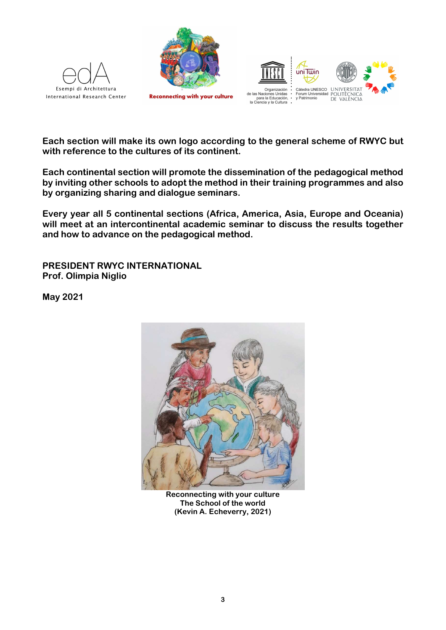





Each section will make its own logo according to the general scheme of RWYC but with reference to the cultures of its continent.

Each continental section will promote the dissemination of the pedagogical method by inviting other schools to adopt the method in their training programmes and also by organizing sharing and dialogue seminars.

Every year all 5 continental sections (Africa, America, Asia, Europe and Oceania) will meet at an intercontinental academic seminar to discuss the results together and how to advance on the pedagogical method.

PRESIDENT RWYC INTERNATIONAL Prof. Olimpia Niglio

May 2021



Reconnecting with your culture The School of the world (Kevin A. Echeverry, 2021)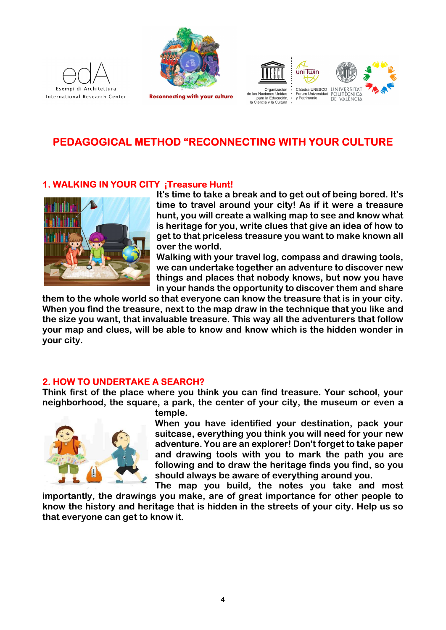





anneachan<br>es Unidas

de las Nacio





# PEDAGOGICAL METHOD "RECONNECTING WITH YOUR CULTURE

#### 1. WALKING IN YOUR CITY ¡Treasure Hunt!



It's time to take a break and to get out of being bored. It's time to travel around your city! As if it were a treasure hunt, you will create a walking map to see and know what is heritage for you, write clues that give an idea of how to get to that priceless treasure you want to make known all over the world.

Walking with your travel log, compass and drawing tools, we can undertake together an adventure to discover new things and places that nobody knows, but now you have in your hands the opportunity to discover them and share

them to the whole world so that everyone can know the treasure that is in your city. When you find the treasure, next to the map draw in the technique that you like and the size you want, that invaluable treasure. This way all the adventurers that follow your map and clues, will be able to know and know which is the hidden wonder in your city.

#### 2. HOW TO UNDERTAKE A SEARCH?

Think first of the place where you think you can find treasure. Your school, your neighborhood, the square, a park, the center of your city, the museum or even a



temple.

When you have identified your destination, pack your suitcase, everything you think you will need for your new adventure. You are an explorer! Don't forget to take paper and drawing tools with you to mark the path you are following and to draw the heritage finds you find, so you should always be aware of everything around you.

The map you build, the notes you take and most importantly, the drawings you make, are of great importance for other people to know the history and heritage that is hidden in the streets of your city. Help us so that everyone can get to know it.